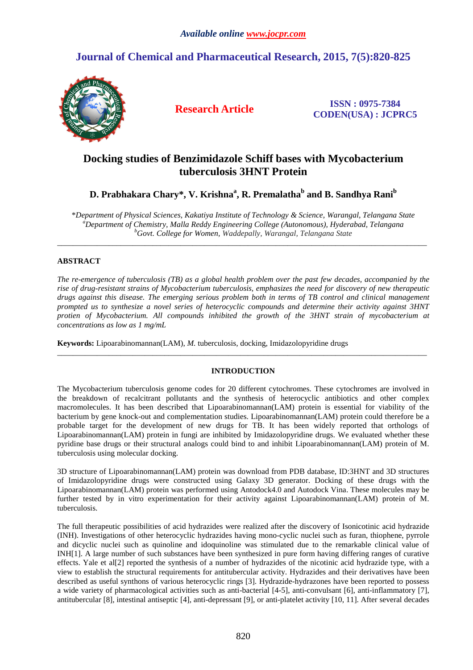# **Journal of Chemical and Pharmaceutical Research, 2015, 7(5):820-825**



**Research Article ISSN : 0975-7384 CODEN(USA) : JCPRC5**

## **Docking studies of Benzimidazole Schiff bases with Mycobacterium tuberculosis 3HNT Protein**

## ${\bf D}.$  Prabhakara Chary\*, V. Krishna $^{\rm a}$ , R. Premalatha $^{\rm b}$  and B. Sandhya Rani $^{\rm b}$

\**Department of Physical Sciences, Kakatiya Institute of Technology & Science, Warangal, Telangana State <sup>a</sup>Department of Chemistry, Malla Reddy Engineering College (Autonomous), Hyderabad, Telangana <sup>b</sup>Govt. College for Women, Waddepally, Warangal, Telangana State*

\_\_\_\_\_\_\_\_\_\_\_\_\_\_\_\_\_\_\_\_\_\_\_\_\_\_\_\_\_\_\_\_\_\_\_\_\_\_\_\_\_\_\_\_\_\_\_\_\_\_\_\_\_\_\_\_\_\_\_\_\_\_\_\_\_\_\_\_\_\_\_\_\_\_\_\_\_\_\_\_\_\_\_\_\_\_\_\_\_\_\_\_\_

### **ABSTRACT**

*The re-emergence of tuberculosis (TB) as a global health problem over the past few decades, accompanied by the rise of drug-resistant strains of Mycobacterium tuberculosis, emphasizes the need for discovery of new therapeutic drugs against this disease. The emerging serious problem both in terms of TB control and clinical management prompted us to synthesize a novel series of heterocyclic compounds and determine their activity against 3HNT protien of Mycobacterium. All compounds inhibited the growth of the 3HNT strain of mycobacterium at concentrations as low as 1 mg/mL* 

**Keywords:** Lipoarabinomannan(LAM), *M.* tuberculosis*,* docking, Imidazolopyridine drugs

#### **INTRODUCTION**

\_\_\_\_\_\_\_\_\_\_\_\_\_\_\_\_\_\_\_\_\_\_\_\_\_\_\_\_\_\_\_\_\_\_\_\_\_\_\_\_\_\_\_\_\_\_\_\_\_\_\_\_\_\_\_\_\_\_\_\_\_\_\_\_\_\_\_\_\_\_\_\_\_\_\_\_\_\_\_\_\_\_\_\_\_\_\_\_\_\_\_\_\_

The Mycobacterium tuberculosis genome codes for 20 different cytochromes. These cytochromes are involved in the breakdown of recalcitrant pollutants and the synthesis of heterocyclic antibiotics and other complex macromolecules. It has been described that Lipoarabinomannan(LAM) protein is essential for viability of the bacterium by gene knock-out and complementation studies. Lipoarabinomannan(LAM) protein could therefore be a probable target for the development of new drugs for TB. It has been widely reported that orthologs of Lipoarabinomannan(LAM) protein in fungi are inhibited by Imidazolopyridine drugs. We evaluated whether these pyridine base drugs or their structural analogs could bind to and inhibit Lipoarabinomannan(LAM) protein of M. tuberculosis using molecular docking.

3D structure of Lipoarabinomannan(LAM) protein was download from PDB database, ID:3HNT and 3D structures of Imidazolopyridine drugs were constructed using Galaxy 3D generator. Docking of these drugs with the Lipoarabinomannan(LAM) protein was performed using Antodock4.0 and Autodock Vina. These molecules may be further tested by in vitro experimentation for their activity against Lipoarabinomannan(LAM) protein of M. tuberculosis.

The full therapeutic possibilities of acid hydrazides were realized after the discovery of Isonicotinic acid hydrazide (INH). Investigations of other heterocyclic hydrazides having mono-cyclic nuclei such as furan, thiophene, pyrrole and dicyclic nuclei such as quinoline and idoquinoline was stimulated due to the remarkable clinical value of INH[1]. A large number of such substances have been synthesized in pure form having differing ranges of curative effects. Yale et al[2] reported the synthesis of a number of hydrazides of the nicotinic acid hydrazide type, with a view to establish the structural requirements for antitubercular activity. Hydrazides and their derivatives have been described as useful synthons of various heterocyclic rings [3]. Hydrazide-hydrazones have been reported to possess a wide variety of pharmacological activities such as anti-bacterial [4-5], anti-convulsant [6], anti-inflammatory [7], antitubercular [8], intestinal antiseptic [4], anti-depressant [9], or anti-platelet activity [10, 11]. After several decades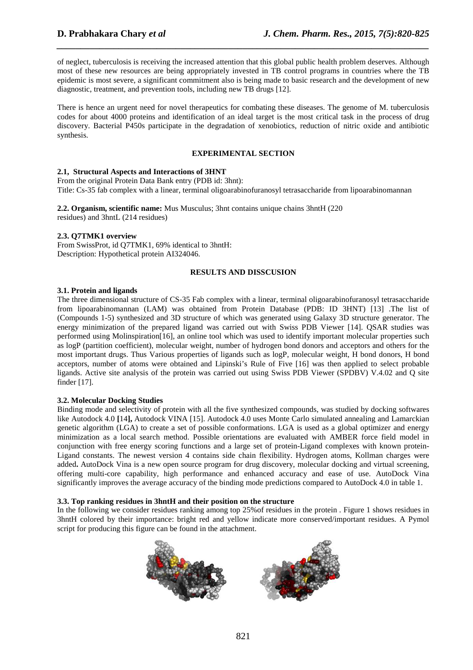of neglect, tuberculosis is receiving the increased attention that this global public health problem deserves. Although most of these new resources are being appropriately invested in TB control programs in countries where the TB epidemic is most severe, a significant commitment also is being made to basic research and the development of new diagnostic, treatment, and prevention tools, including new TB drugs [12].

*\_\_\_\_\_\_\_\_\_\_\_\_\_\_\_\_\_\_\_\_\_\_\_\_\_\_\_\_\_\_\_\_\_\_\_\_\_\_\_\_\_\_\_\_\_\_\_\_\_\_\_\_\_\_\_\_\_\_\_\_\_\_\_\_\_\_\_\_\_\_\_\_\_\_\_\_\_\_*

There is hence an urgent need for novel therapeutics for combating these diseases. The genome of M. tuberculosis codes for about 4000 proteins and identification of an ideal target is the most critical task in the process of drug discovery. Bacterial P450s participate in the degradation of xenobiotics, reduction of nitric oxide and antibiotic synthesis.

#### **EXPERIMENTAL SECTION**

### **2.1, Structural Aspects and Interactions of 3HNT**

From the original Protein Data Bank entry (PDB id: 3hnt): Title: Cs-35 fab complex with a linear, terminal oligoarabinofuranosyl tetrasaccharide from lipoarabinomannan

**2.2. Organism, scientific name:** Mus Musculus; 3hnt contains unique chains 3hntH (220 residues) and 3hntL (214 residues)

#### **2.3. Q7TMK1 overview**

From SwissProt, id Q7TMK1, 69% identical to 3hntH: Description: Hypothetical protein AI324046.

#### **RESULTS AND DISSCUSION**

#### **3.1. Protein and ligands**

The three dimensional structure of CS-35 Fab complex with a linear, terminal oligoarabinofuranosyl tetrasaccharide from lipoarabinomannan (LAM) was obtained from Protein Database (PDB: ID 3HNT) [13] .The list of (Compounds 1-5) synthesized and 3D structure of which was generated using Galaxy 3D structure generator. The energy minimization of the prepared ligand was carried out with Swiss PDB Viewer [14]. QSAR studies was performed using Molinspiration[16], an online tool which was used to identify important molecular properties such as logP (partition coefficient), molecular weight, number of hydrogen bond donors and acceptors and others for the most important drugs. Thus Various properties of ligands such as logP, molecular weight, H bond donors, H bond acceptors, number of atoms were obtained and Lipinski's Rule of Five [16] was then applied to select probable ligands. Active site analysis of the protein was carried out using Swiss PDB Viewer (SPDBV) V.4.02 and Q site finder [17].

#### **3.2. Molecular Docking Studies**

Binding mode and selectivity of protein with all the five synthesized compounds, was studied by docking softwares like Autodock 4.0 **[**14**],** Autodock VINA [15]. Autodock 4.0 uses Monte Carlo simulated annealing and Lamarckian genetic algorithm (LGA) to create a set of possible conformations. LGA is used as a global optimizer and energy minimization as a local search method. Possible orientations are evaluated with AMBER force field model in conjunction with free energy scoring functions and a large set of protein-Ligand complexes with known protein-Ligand constants. The newest version 4 contains side chain flexibility. Hydrogen atoms, Kollman charges were added**.** AutoDock Vina is a new open source program for drug discovery, molecular docking and virtual screening, offering multi-core capability, high performance and enhanced accuracy and ease of use. AutoDock Vina significantly improves the average accuracy of the binding mode predictions compared to AutoDock 4.0 in table 1.

#### **3.3. Top ranking residues in 3hntH and their position on the structure**

In the following we consider residues ranking among top 25%of residues in the protein . Figure 1 shows residues in 3hntH colored by their importance: bright red and yellow indicate more conserved/important residues. A Pymol script for producing this figure can be found in the attachment.

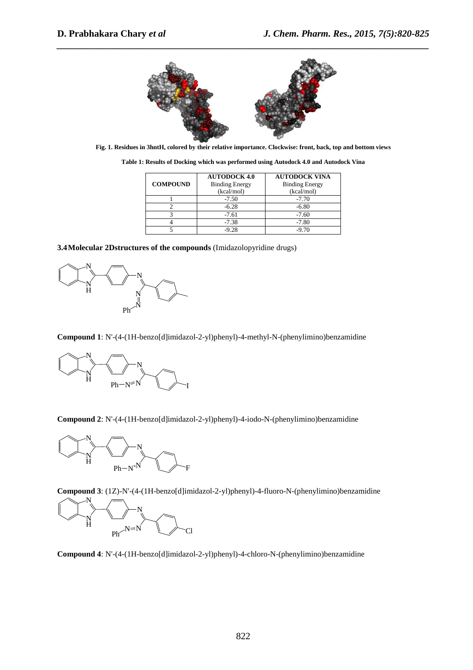

*\_\_\_\_\_\_\_\_\_\_\_\_\_\_\_\_\_\_\_\_\_\_\_\_\_\_\_\_\_\_\_\_\_\_\_\_\_\_\_\_\_\_\_\_\_\_\_\_\_\_\_\_\_\_\_\_\_\_\_\_\_\_\_\_\_\_\_\_\_\_\_\_\_\_\_\_\_\_*

**Fig. 1. Residues in 3hntH, colored by their relative importance. Clockwise: front, back, top and bottom views** 

|                 | <b>AUTODOCK 4.0</b>   | <b>AUTODOCK VINA</b>  |
|-----------------|-----------------------|-----------------------|
| <b>COMPOUND</b> | <b>Binding Energy</b> | <b>Binding Energy</b> |
|                 | (kcal/mol)            | (kcal/mol)            |
|                 | $-7.50$               | $-7.70$               |
|                 | $-6.28$               | $-6.80$               |
|                 | $-7.61$               | $-7.60$               |
|                 | $-7.38$               | $-7.80$               |
|                 | -9.28                 | -9.70                 |

**Table 1: Results of Docking which was performed using Autodock 4.0 and Autodock Vina** 





**Compound 1**: N'-(4-(1H-benzo[d]imidazol-2-yl)phenyl)-4-methyl-N-(phenylimino)benzamidine



**Compound 2**: N'-(4-(1H-benzo[d]imidazol-2-yl)phenyl)-4-iodo-N-(phenylimino)benzamidine



**Compound 3**: (1Z)-N'-(4-(1H-benzo[d]imidazol-2-yl)phenyl)-4-fluoro-N-(phenylimino)benzamidine



**Compound 4**: N'-(4-(1H-benzo[d]imidazol-2-yl)phenyl)-4-chloro-N-(phenylimino)benzamidine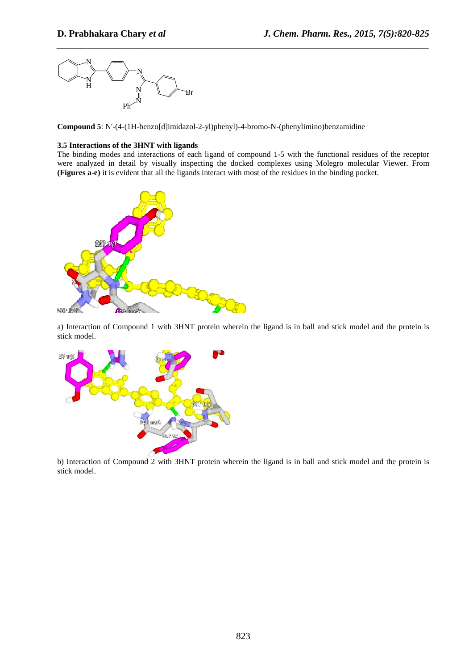

**Compound 5**: N'-(4-(1H-benzo[d]imidazol-2-yl)phenyl)-4-bromo-N-(phenylimino)benzamidine

#### **3.5 Interactions of the 3HNT with ligands**

The binding modes and interactions of each ligand of compound 1-5 with the functional residues of the receptor were analyzed in detail by visually inspecting the docked complexes using Molegro molecular Viewer. From **(Figures a-e)** it is evident that all the ligands interact with most of the residues in the binding pocket.

*\_\_\_\_\_\_\_\_\_\_\_\_\_\_\_\_\_\_\_\_\_\_\_\_\_\_\_\_\_\_\_\_\_\_\_\_\_\_\_\_\_\_\_\_\_\_\_\_\_\_\_\_\_\_\_\_\_\_\_\_\_\_\_\_\_\_\_\_\_\_\_\_\_\_\_\_\_\_*



a) Interaction of Compound 1 with 3HNT protein wherein the ligand is in ball and stick model and the protein is stick model.



b) Interaction of Compound 2 with 3HNT protein wherein the ligand is in ball and stick model and the protein is stick model.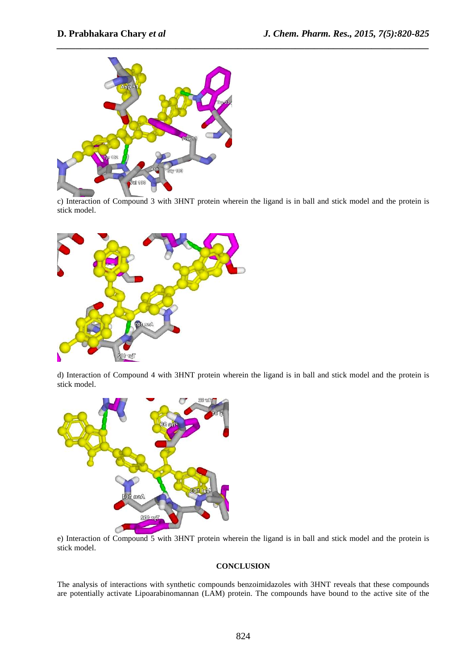

c) Interaction of Compound 3 with 3HNT protein wherein the ligand is in ball and stick model and the protein is stick model.

*\_\_\_\_\_\_\_\_\_\_\_\_\_\_\_\_\_\_\_\_\_\_\_\_\_\_\_\_\_\_\_\_\_\_\_\_\_\_\_\_\_\_\_\_\_\_\_\_\_\_\_\_\_\_\_\_\_\_\_\_\_\_\_\_\_\_\_\_\_\_\_\_\_\_\_\_\_\_*



d) Interaction of Compound 4 with 3HNT protein wherein the ligand is in ball and stick model and the protein is stick model.



e) Interaction of Compound 5 with 3HNT protein wherein the ligand is in ball and stick model and the protein is stick model.

#### **CONCLUSION**

The analysis of interactions with synthetic compounds benzoimidazoles with 3HNT reveals that these compounds are potentially activate Lipoarabinomannan (LAM) protein. The compounds have bound to the active site of the